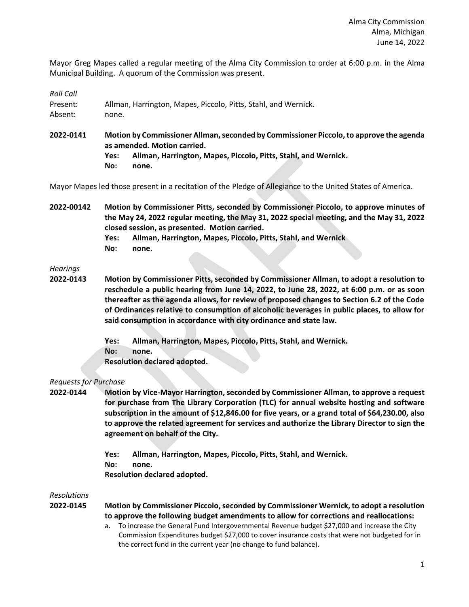Mayor Greg Mapes called a regular meeting of the Alma City Commission to order at 6:00 p.m. in the Alma Municipal Building. A quorum of the Commission was present.

*Roll Call*

| Present: | Allman, Harrington, Mapes, Piccolo, Pitts, Stahl, and Wernick. |  |  |  |  |
|----------|----------------------------------------------------------------|--|--|--|--|
| Absent:  | none.                                                          |  |  |  |  |

**2022-0141 Motion by Commissioner Allman, seconded by Commissioner Piccolo, to approve the agenda as amended. Motion carried.**

**Yes: Allman, Harrington, Mapes, Piccolo, Pitts, Stahl, and Wernick. No: none.**

Mayor Mapes led those present in a recitation of the Pledge of Allegiance to the United States of America.

**2022-00142 Motion by Commissioner Pitts, seconded by Commissioner Piccolo, to approve minutes of the May 24, 2022 regular meeting, the May 31, 2022 special meeting, and the May 31, 2022 closed session, as presented. Motion carried.**

- **Yes: Allman, Harrington, Mapes, Piccolo, Pitts, Stahl, and Wernick**
- **No: none.**

#### *Hearings*

- **2022-0143 Motion by Commissioner Pitts, seconded by Commissioner Allman, to adopt a resolution to reschedule a public hearing from June 14, 2022, to June 28, 2022, at 6:00 p.m. or as soon thereafter as the agenda allows, for review of proposed changes to Section 6.2 of the Code of Ordinances relative to consumption of alcoholic beverages in public places, to allow for said consumption in accordance with city ordinance and state law.**
	- **Yes: Allman, Harrington, Mapes, Piccolo, Pitts, Stahl, and Wernick.**
	- **No: none.**

**Resolution declared adopted.**

### *Requests for Purchase*

**2022-0144 Motion by Vice-Mayor Harrington, seconded by Commissioner Allman, to approve a request for purchase from The Library Corporation (TLC) for annual website hosting and software subscription in the amount of \$12,846.00 for five years, or a grand total of \$64,230.00, also to approve the related agreement for services and authorize the Library Director to sign the agreement on behalf of the City.** 

- **Yes: Allman, Harrington, Mapes, Piccolo, Pitts, Stahl, and Wernick.**
- **No: none.**

**Resolution declared adopted.**

*Resolutions*

**2022-0145 Motion by Commissioner Piccolo, seconded by Commissioner Wernick, to adopt a resolution to approve the following budget amendments to allow for corrections and reallocations:**

> a. To increase the General Fund Intergovernmental Revenue budget \$27,000 and increase the City Commission Expenditures budget \$27,000 to cover insurance costs that were not budgeted for in the correct fund in the current year (no change to fund balance).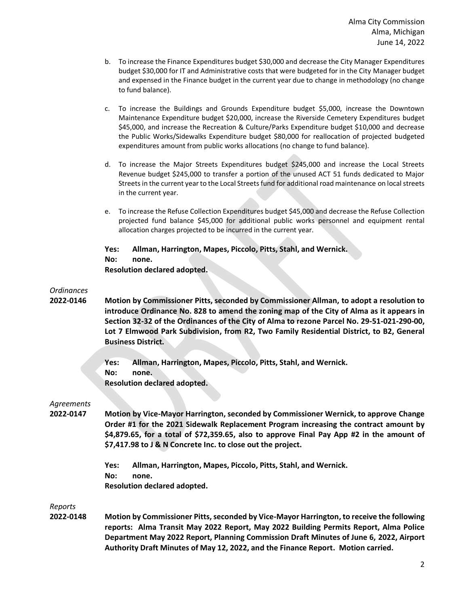- b. To increase the Finance Expenditures budget \$30,000 and decrease the City Manager Expenditures budget \$30,000 for IT and Administrative costs that were budgeted for in the City Manager budget and expensed in the Finance budget in the current year due to change in methodology (no change to fund balance).
- c. To increase the Buildings and Grounds Expenditure budget \$5,000, increase the Downtown Maintenance Expenditure budget \$20,000, increase the Riverside Cemetery Expenditures budget \$45,000, and increase the Recreation & Culture/Parks Expenditure budget \$10,000 and decrease the Public Works/Sidewalks Expenditure budget \$80,000 for reallocation of projected budgeted expenditures amount from public works allocations (no change to fund balance).
- d. To increase the Major Streets Expenditures budget \$245,000 and increase the Local Streets Revenue budget \$245,000 to transfer a portion of the unused ACT 51 funds dedicated to Major Streets in the current year to the Local Streets fund for additional road maintenance on local streets in the current year.
- e. To increase the Refuse Collection Expenditures budget \$45,000 and decrease the Refuse Collection projected fund balance \$45,000 for additional public works personnel and equipment rental allocation charges projected to be incurred in the current year.

**Yes: Allman, Harrington, Mapes, Piccolo, Pitts, Stahl, and Wernick. No: none.**

**Resolution declared adopted.**

### *Ordinances*

**2022-0146 Motion by Commissioner Pitts, seconded by Commissioner Allman, to adopt a resolution to introduce Ordinance No. 828 to amend the zoning map of the City of Alma as it appears in Section 32-32 of the Ordinances of the City of Alma to rezone Parcel No. 29-51-021-290-00, Lot 7 Elmwood Park Subdivision, from R2, Two Family Residential District, to B2, General Business District.**

> **Yes: Allman, Harrington, Mapes, Piccolo, Pitts, Stahl, and Wernick. No: none. Resolution declared adopted.**

#### *Agreements*

**2022-0147 Motion by Vice-Mayor Harrington, seconded by Commissioner Wernick, to approve Change Order #1 for the 2021 Sidewalk Replacement Program increasing the contract amount by \$4,879.65, for a total of \$72,359.65, also to approve Final Pay App #2 in the amount of \$7,417.98 to J & N Concrete Inc. to close out the project.**

> **Yes: Allman, Harrington, Mapes, Piccolo, Pitts, Stahl, and Wernick. No: none. Resolution declared adopted.**

*Reports*

**2022-0148 Motion by Commissioner Pitts, seconded by Vice-Mayor Harrington, to receive the following reports: Alma Transit May 2022 Report, May 2022 Building Permits Report, Alma Police Department May 2022 Report, Planning Commission Draft Minutes of June 6, 2022, Airport Authority Draft Minutes of May 12, 2022, and the Finance Report. Motion carried.**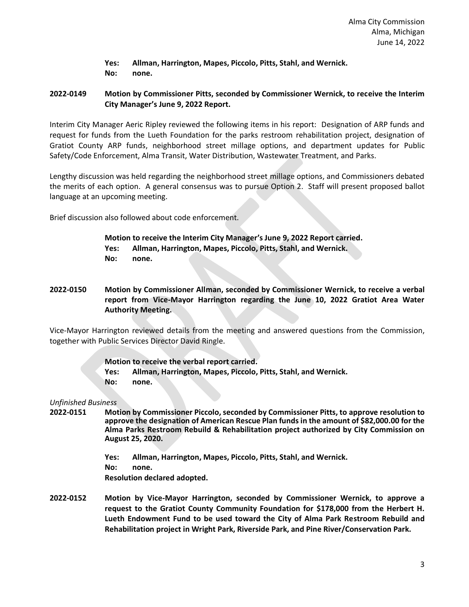**Yes: Allman, Harrington, Mapes, Piccolo, Pitts, Stahl, and Wernick. No: none.**

### **2022-0149 Motion by Commissioner Pitts, seconded by Commissioner Wernick, to receive the Interim City Manager's June 9, 2022 Report.**

Interim City Manager Aeric Ripley reviewed the following items in his report: Designation of ARP funds and request for funds from the Lueth Foundation for the parks restroom rehabilitation project, designation of Gratiot County ARP funds, neighborhood street millage options, and department updates for Public Safety/Code Enforcement, Alma Transit, Water Distribution, Wastewater Treatment, and Parks.

Lengthy discussion was held regarding the neighborhood street millage options, and Commissioners debated the merits of each option. A general consensus was to pursue Option 2. Staff will present proposed ballot language at an upcoming meeting.

Brief discussion also followed about code enforcement.

**Motion to receive the Interim City Manager's June 9, 2022 Report carried. Yes: Allman, Harrington, Mapes, Piccolo, Pitts, Stahl, and Wernick. No: none.**

# **2022-0150 Motion by Commissioner Allman, seconded by Commissioner Wernick, to receive a verbal report from Vice-Mayor Harrington regarding the June 10, 2022 Gratiot Area Water Authority Meeting.**

Vice-Mayor Harrington reviewed details from the meeting and answered questions from the Commission, together with Public Services Director David Ringle.

|      | Motion to receive the verbal report carried.                   |
|------|----------------------------------------------------------------|
| Yes: | Allman, Harrington, Mapes, Piccolo, Pitts, Stahl, and Wernick. |
| No:  | none.                                                          |

#### *Unfinished Business*

**2022-0151 Motion by Commissioner Piccolo, seconded by Commissioner Pitts, to approve resolution to approve the designation of American Rescue Plan funds in the amount of \$82,000.00 for the Alma Parks Restroom Rebuild & Rehabilitation project authorized by City Commission on August 25, 2020.**

> **Yes: Allman, Harrington, Mapes, Piccolo, Pitts, Stahl, and Wernick. No: none. Resolution declared adopted.**

**2022-0152 Motion by Vice-Mayor Harrington, seconded by Commissioner Wernick, to approve a request to the Gratiot County Community Foundation for \$178,000 from the Herbert H. Lueth Endowment Fund to be used toward the City of Alma Park Restroom Rebuild and Rehabilitation project in Wright Park, Riverside Park, and Pine River/Conservation Park.**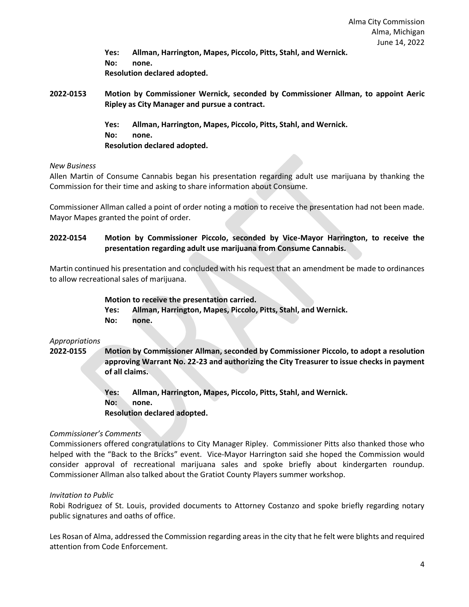**Yes: Allman, Harrington, Mapes, Piccolo, Pitts, Stahl, and Wernick. No: none. Resolution declared adopted.**

**2022-0153 Motion by Commissioner Wernick, seconded by Commissioner Allman, to appoint Aeric Ripley as City Manager and pursue a contract.**

> **Yes: Allman, Harrington, Mapes, Piccolo, Pitts, Stahl, and Wernick. No: none. Resolution declared adopted.**

### *New Business*

Allen Martin of Consume Cannabis began his presentation regarding adult use marijuana by thanking the Commission for their time and asking to share information about Consume.

Commissioner Allman called a point of order noting a motion to receive the presentation had not been made. Mayor Mapes granted the point of order.

# **2022-0154 Motion by Commissioner Piccolo, seconded by Vice-Mayor Harrington, to receive the presentation regarding adult use marijuana from Consume Cannabis.**

Martin continued his presentation and concluded with his request that an amendment be made to ordinances to allow recreational sales of marijuana.

### **Motion to receive the presentation carried.**

- **Yes: Allman, Harrington, Mapes, Piccolo, Pitts, Stahl, and Wernick.**
- **No: none.**

# *Appropriations*

**2022-0155 Motion by Commissioner Allman, seconded by Commissioner Piccolo, to adopt a resolution approving Warrant No. 22-23 and authorizing the City Treasurer to issue checks in payment of all claims.**

> **Yes: Allman, Harrington, Mapes, Piccolo, Pitts, Stahl, and Wernick. No: none. Resolution declared adopted.**

# *Commissioner's Comments*

Commissioners offered congratulations to City Manager Ripley. Commissioner Pitts also thanked those who helped with the "Back to the Bricks" event. Vice-Mayor Harrington said she hoped the Commission would consider approval of recreational marijuana sales and spoke briefly about kindergarten roundup. Commissioner Allman also talked about the Gratiot County Players summer workshop.

# *Invitation to Public*

Robi Rodriguez of St. Louis, provided documents to Attorney Costanzo and spoke briefly regarding notary public signatures and oaths of office.

Les Rosan of Alma, addressed the Commission regarding areas in the city that he felt were blights and required attention from Code Enforcement.